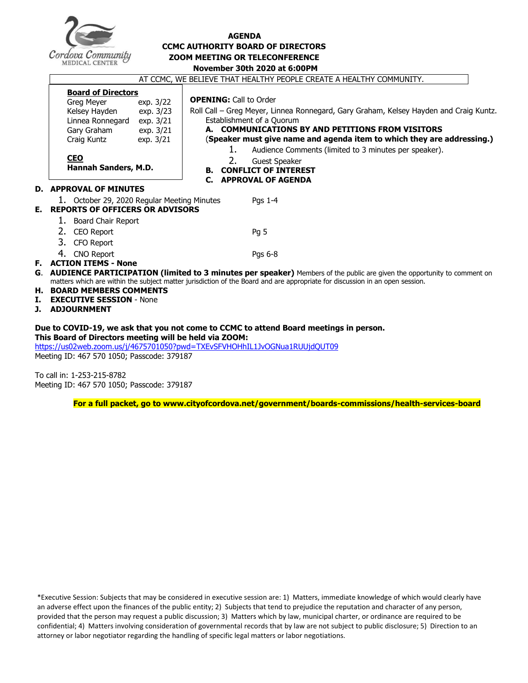

#### **AGENDA CCMC AUTHORITY BOARD OF DIRECTORS ZOOM MEETING OR TELECONFERENCE November 30th 2020 at 6:00PM**

|                                                                                                                                                                                                                                                                                                                                                                                     | AT CCMC, WE BELIEVE THAT HEALTHY PEOPLE CREATE A HEALTHY COMMUNITY.                                                                                                                                               |                                                                                                                                                                                                                                                                                                                                                                                                                                           |
|-------------------------------------------------------------------------------------------------------------------------------------------------------------------------------------------------------------------------------------------------------------------------------------------------------------------------------------------------------------------------------------|-------------------------------------------------------------------------------------------------------------------------------------------------------------------------------------------------------------------|-------------------------------------------------------------------------------------------------------------------------------------------------------------------------------------------------------------------------------------------------------------------------------------------------------------------------------------------------------------------------------------------------------------------------------------------|
|                                                                                                                                                                                                                                                                                                                                                                                     | <b>Board of Directors</b><br>Greg Meyer<br>exp. 3/22<br>Kelsey Hayden<br>exp. 3/23<br>Linnea Ronnegard<br>exp. 3/21<br>Gary Graham<br>exp. 3/21<br>Craig Kuntz<br>exp. 3/21<br><b>CEO</b><br>Hannah Sanders, M.D. | <b>OPENING: Call to Order</b><br>Roll Call - Greg Meyer, Linnea Ronnegard, Gary Graham, Kelsey Hayden and Craig Kuntz.<br>Establishment of a Quorum<br>A. COMMUNICATIONS BY AND PETITIONS FROM VISITORS<br>(Speaker must give name and agenda item to which they are addressing.)<br>1.<br>Audience Comments (limited to 3 minutes per speaker).<br>2.<br><b>Guest Speaker</b><br><b>B. CONFLICT OF INTEREST</b><br>C. APPROVAL OF AGENDA |
|                                                                                                                                                                                                                                                                                                                                                                                     | <b>D. APPROVAL OF MINUTES</b>                                                                                                                                                                                     |                                                                                                                                                                                                                                                                                                                                                                                                                                           |
| Е.                                                                                                                                                                                                                                                                                                                                                                                  | 1. October 29, 2020 Regular Meeting Minutes<br><b>REPORTS OF OFFICERS OR ADVISORS</b>                                                                                                                             | Pgs 1-4                                                                                                                                                                                                                                                                                                                                                                                                                                   |
|                                                                                                                                                                                                                                                                                                                                                                                     | 1. Board Chair Report                                                                                                                                                                                             |                                                                                                                                                                                                                                                                                                                                                                                                                                           |
|                                                                                                                                                                                                                                                                                                                                                                                     | 2.<br>CEO Report<br>3. CFO Report                                                                                                                                                                                 | Pq 5                                                                                                                                                                                                                                                                                                                                                                                                                                      |
|                                                                                                                                                                                                                                                                                                                                                                                     | 4. CNO Report                                                                                                                                                                                                     | Pgs 6-8                                                                                                                                                                                                                                                                                                                                                                                                                                   |
| <b>F. ACTION ITEMS - None</b><br>G. AUDIENCE PARTICIPATION (limited to 3 minutes per speaker) Members of the public are given the opportunity to comment on<br>matters which are within the subject matter jurisdiction of the Board and are appropriate for discussion in an open session.<br>H. BOARD MEMBERS COMMENTS<br>I.<br><b>EXECUTIVE SESSION - None</b><br>J. ADJOURNMENT |                                                                                                                                                                                                                   |                                                                                                                                                                                                                                                                                                                                                                                                                                           |
| Due to COVID-19, we ask that you not come to CCMC to attend Board meetings in person.<br>This Board of Directors meeting will be held via ZOOM:<br>https://us02web.zoom.us/j/4675701050?pwd=TXEvSFVHOHhIL1JvOGNua1RUUjdQUT09<br>Meeting ID: 467 570 1050; Passcode: 379187                                                                                                          |                                                                                                                                                                                                                   |                                                                                                                                                                                                                                                                                                                                                                                                                                           |

To call in: 1-253-215-8782 Meeting ID: 467 570 1050; Passcode: 379187

**For a full packet, go to www.cityofcordova.net/government/boards-commissions/health-services-board**

\*Executive Session: Subjects that may be considered in executive session are: 1) Matters, immediate knowledge of which would clearly have an adverse effect upon the finances of the public entity; 2) Subjects that tend to prejudice the reputation and character of any person, provided that the person may request a public discussion; 3) Matters which by law, municipal charter, or ordinance are required to be confidential; 4) Matters involving consideration of governmental records that by law are not subject to public disclosure; 5) Direction to an attorney or labor negotiator regarding the handling of specific legal matters or labor negotiations.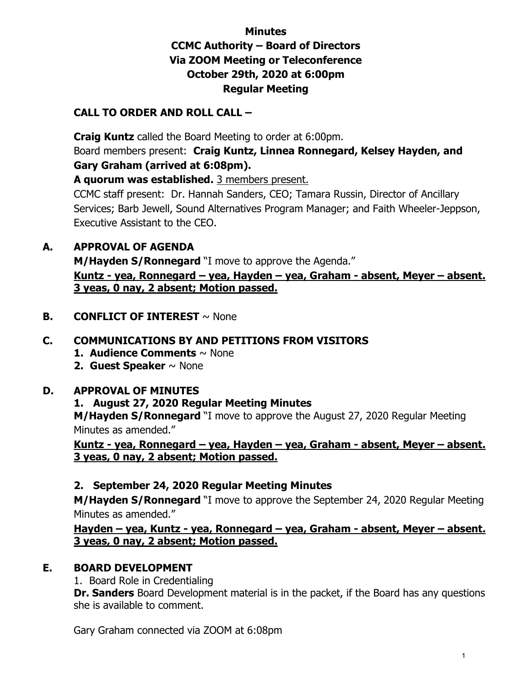## **Minutes CCMC Authority – Board of Directors Via ZOOM Meeting or Teleconference October 29th, 2020 at 6:00pm Regular Meeting**

## **CALL TO ORDER AND ROLL CALL –**

**Craig Kuntz** called the Board Meeting to order at 6:00pm. Board members present: **Craig Kuntz, Linnea Ronnegard, Kelsey Hayden, and Gary Graham (arrived at 6:08pm).** 

**A quorum was established.** 3 members present.

CCMC staff present: Dr. Hannah Sanders, CEO; Tamara Russin, Director of Ancillary Services; Barb Jewell, Sound Alternatives Program Manager; and Faith Wheeler-Jeppson, Executive Assistant to the CEO.

## **A. APPROVAL OF AGENDA**

**M/Hayden S/Ronnegard** "I move to approve the Agenda." **Kuntz - yea, Ronnegard – yea, Hayden – yea, Graham - absent, Meyer – absent. 3 yeas, 0 nay, 2 absent; Motion passed.**

**B. CONFLICT OF INTEREST** ~ None

## **C. COMMUNICATIONS BY AND PETITIONS FROM VISITORS**

- **1. Audience Comments** ~ None
- **2. Guest Speaker** ~ None

## **D. APPROVAL OF MINUTES**

## **1. August 27, 2020 Regular Meeting Minutes**

**M/Hayden S/Ronnegard** "I move to approve the August 27, 2020 Regular Meeting Minutes as amended."

**Kuntz - yea, Ronnegard – yea, Hayden – yea, Graham - absent, Meyer – absent. 3 yeas, 0 nay, 2 absent; Motion passed.**

## **2. September 24, 2020 Regular Meeting Minutes**

**M/Hayden S/Ronnegard** "I move to approve the September 24, 2020 Regular Meeting Minutes as amended."

**Hayden – yea, Kuntz - yea, Ronnegard – yea, Graham - absent, Meyer – absent. 3 yeas, 0 nay, 2 absent; Motion passed.**

## **E. BOARD DEVELOPMENT**

1. Board Role in Credentialing

**Dr. Sanders** Board Development material is in the packet, if the Board has any questions she is available to comment.

Gary Graham connected via ZOOM at 6:08pm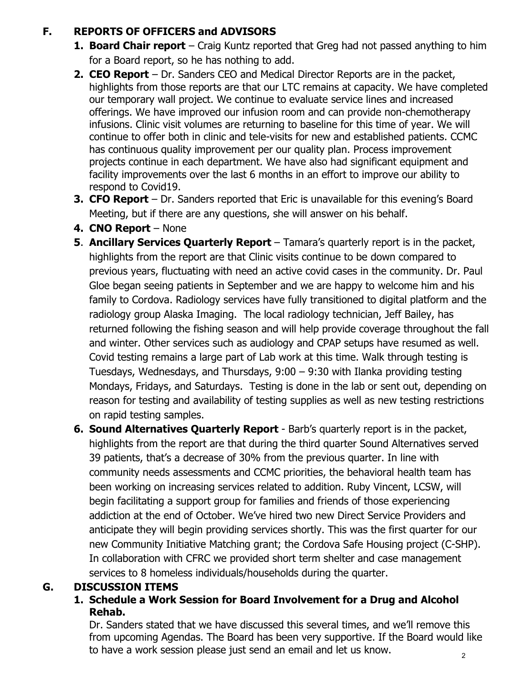## **F. REPORTS OF OFFICERS and ADVISORS**

- **1. Board Chair report** Craig Kuntz reported that Greg had not passed anything to him for a Board report, so he has nothing to add.
- **2. CEO Report** Dr. Sanders CEO and Medical Director Reports are in the packet, highlights from those reports are that our LTC remains at capacity. We have completed our temporary wall project. We continue to evaluate service lines and increased offerings. We have improved our infusion room and can provide non-chemotherapy infusions. Clinic visit volumes are returning to baseline for this time of year. We will continue to offer both in clinic and tele-visits for new and established patients. CCMC has continuous quality improvement per our quality plan. Process improvement projects continue in each department. We have also had significant equipment and facility improvements over the last 6 months in an effort to improve our ability to respond to Covid19.
- **3. CFO Report** Dr. Sanders reported that Eric is unavailable for this evening's Board Meeting, but if there are any questions, she will answer on his behalf.
- **4. CNO Report** None
- **5. Ancillary Services Quarterly Report** Tamara's quarterly report is in the packet, highlights from the report are that Clinic visits continue to be down compared to previous years, fluctuating with need an active covid cases in the community. Dr. Paul Gloe began seeing patients in September and we are happy to welcome him and his family to Cordova. Radiology services have fully transitioned to digital platform and the radiology group Alaska Imaging. The local radiology technician, Jeff Bailey, has returned following the fishing season and will help provide coverage throughout the fall and winter. Other services such as audiology and CPAP setups have resumed as well. Covid testing remains a large part of Lab work at this time. Walk through testing is Tuesdays, Wednesdays, and Thursdays, 9:00 – 9:30 with Ilanka providing testing Mondays, Fridays, and Saturdays. Testing is done in the lab or sent out, depending on reason for testing and availability of testing supplies as well as new testing restrictions on rapid testing samples.
- **6. Sound Alternatives Quarterly Report** Barb's quarterly report is in the packet, highlights from the report are that during the third quarter Sound Alternatives served 39 patients, that's a decrease of 30% from the previous quarter. In line with community needs assessments and CCMC priorities, the behavioral health team has been working on increasing services related to addition. Ruby Vincent, LCSW, will begin facilitating a support group for families and friends of those experiencing addiction at the end of October. We've hired two new Direct Service Providers and anticipate they will begin providing services shortly. This was the first quarter for our new Community Initiative Matching grant; the Cordova Safe Housing project (C-SHP). In collaboration with CFRC we provided short term shelter and case management services to 8 homeless individuals/households during the quarter.

## **G. DISCUSSION ITEMS**

**1. Schedule a Work Session for Board Involvement for a Drug and Alcohol Rehab.**

Dr. Sanders stated that we have discussed this several times, and we'll remove this from upcoming Agendas. The Board has been very supportive. If the Board would like to have a work session please just send an email and let us know.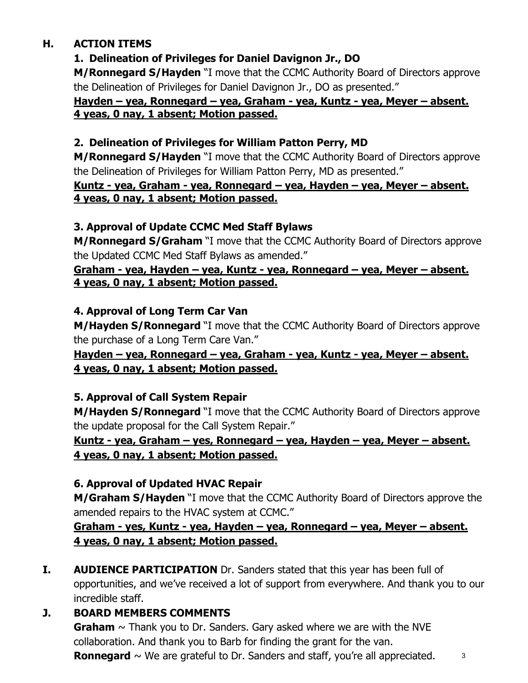## **H. ACTION ITEMS**

# **1. Delineation of Privileges for Daniel Davignon Jr., DO**

**M/Ronnegard S/Hayden** "I move that the CCMC Authority Board of Directors approve the Delineation of Privileges for Daniel Davignon Jr., DO as presented."

## **Hayden – yea, Ronnegard – yea, Graham - yea, Kuntz - yea, Meyer – absent. 4 yeas, 0 nay, 1 absent; Motion passed.**

## **2. Delineation of Privileges for William Patton Perry, MD**

**M/Ronnegard S/Hayden** "I move that the CCMC Authority Board of Directors approve the Delineation of Privileges for William Patton Perry, MD as presented."

### **Kuntz - yea, Graham - yea, Ronnegard – yea, Hayden – yea, Meyer – absent. 4 yeas, 0 nay, 1 absent; Motion passed.**

## **3. Approval of Update CCMC Med Staff Bylaws**

**M/Ronnegard S/Graham** "I move that the CCMC Authority Board of Directors approve the Updated CCMC Med Staff Bylaws as amended."

### **Graham - yea, Hayden – yea, Kuntz - yea, Ronnegard – yea, Meyer – absent. 4 yeas, 0 nay, 1 absent; Motion passed.**

## **4. Approval of Long Term Car Van**

**M/Hayden S/Ronnegard** "I move that the CCMC Authority Board of Directors approve the purchase of a Long Term Care Van."

## **Hayden – yea, Ronnegard – yea, Graham - yea, Kuntz - yea, Meyer – absent. 4 yeas, 0 nay, 1 absent; Motion passed.**

## **5. Approval of Call System Repair**

**M/Hayden S/Ronnegard** "I move that the CCMC Authority Board of Directors approve the update proposal for the Call System Repair."

## **Kuntz - yea, Graham – yes, Ronnegard – yea, Hayden – yea, Meyer – absent. 4 yeas, 0 nay, 1 absent; Motion passed.**

## **6. Approval of Updated HVAC Repair**

**M/Graham S/Hayden** "I move that the CCMC Authority Board of Directors approve the amended repairs to the HVAC system at CCMC."

## **Graham - yes, Kuntz - yea, Hayden – yea, Ronnegard – yea, Meyer – absent. 4 yeas, 0 nay, 1 absent; Motion passed.**

**I. AUDIENCE PARTICIPATION** Dr. Sanders stated that this year has been full of opportunities, and we've received a lot of support from everywhere. And thank you to our incredible staff.

# **J. BOARD MEMBERS COMMENTS**

**Graham**  $\sim$  Thank you to Dr. Sanders. Gary asked where we are with the NVE collaboration. And thank you to Barb for finding the grant for the van. **Ronnegard**  $\sim$  We are grateful to Dr. Sanders and staff, you're all appreciated.  $\frac{3}{2}$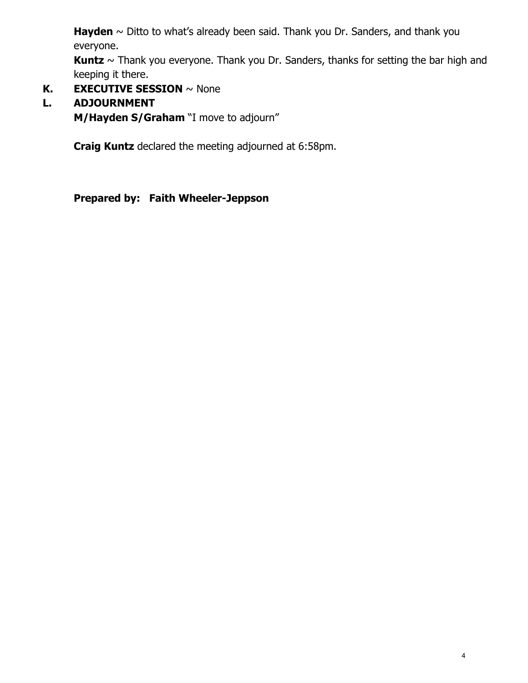Hayden  $\sim$  Ditto to what's already been said. Thank you Dr. Sanders, and thank you everyone.

**Kuntz** ~ Thank you everyone. Thank you Dr. Sanders, thanks for setting the bar high and keeping it there.

**K. EXECUTIVE SESSION** ~ None

## **L. ADJOURNMENT**

**M/Hayden S/Graham** "I move to adjourn"

**Craig Kuntz** declared the meeting adjourned at 6:58pm.

**Prepared by: Faith Wheeler-Jeppson**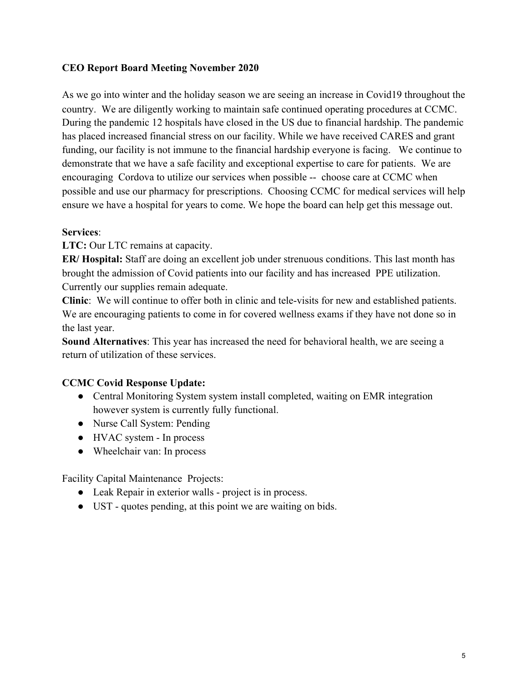#### **CEO Report Board Meeting November 2020**

As we go into winter and the holiday season we are seeing an increase in Covid19 throughout the country. We are diligently working to maintain safe continued operating procedures at CCMC. During the pandemic 12 hospitals have closed in the US due to financial hardship. The pandemic has placed increased financial stress on our facility. While we have received CARES and grant funding, our facility is not immune to the financial hardship everyone is facing. We continue to demonstrate that we have a safe facility and exceptional expertise to care for patients. We are encouraging Cordova to utilize our services when possible -- choose care at CCMC when possible and use our pharmacy for prescriptions. Choosing CCMC for medical services will help ensure we have a hospital for years to come. We hope the board can help get this message out.

#### **Services**:

**LTC:** Our LTC remains at capacity.

**ER/ Hospital:** Staff are doing an excellent job under strenuous conditions. This last month has brought the admission of Covid patients into our facility and has increased PPE utilization. Currently our supplies remain adequate.

**Clinic**: We will continue to offer both in clinic and tele-visits for new and established patients. We are encouraging patients to come in for covered wellness exams if they have not done so in the last year.

**Sound Alternatives**: This year has increased the need for behavioral health, we are seeing a return of utilization of these services.

#### **CCMC Covid Response Update:**

- Central Monitoring System system install completed, waiting on EMR integration however system is currently fully functional.
- Nurse Call System: Pending
- HVAC system In process
- Wheelchair van: In process

Facility Capital Maintenance Projects:

- Leak Repair in exterior walls project is in process.
- UST quotes pending, at this point we are waiting on bids.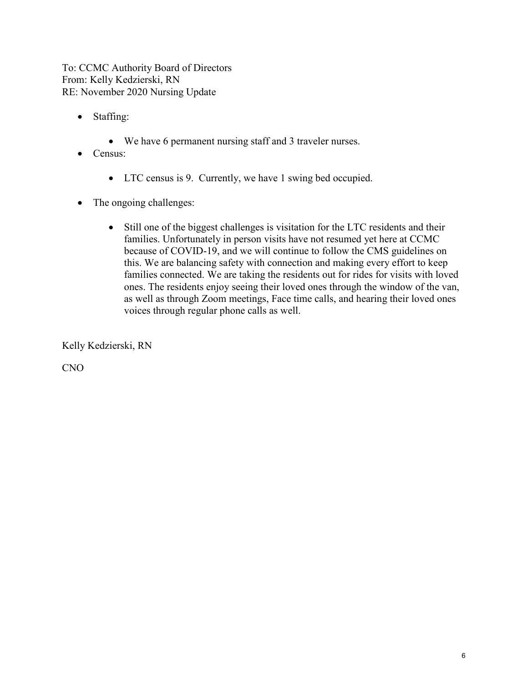To: CCMC Authority Board of Directors From: Kelly Kedzierski, RN RE: November 2020 Nursing Update

- Staffing:
	- We have 6 permanent nursing staff and 3 traveler nurses.
- Census:
	- LTC census is 9. Currently, we have 1 swing bed occupied.
- The ongoing challenges:
	- Still one of the biggest challenges is visitation for the LTC residents and their families. Unfortunately in person visits have not resumed yet here at CCMC because of COVID-19, and we will continue to follow the CMS guidelines on this. We are balancing safety with connection and making every effort to keep families connected. We are taking the residents out for rides for visits with loved ones. The residents enjoy seeing their loved ones through the window of the van, as well as through Zoom meetings, Face time calls, and hearing their loved ones voices through regular phone calls as well.

Kelly Kedzierski, RN

CNO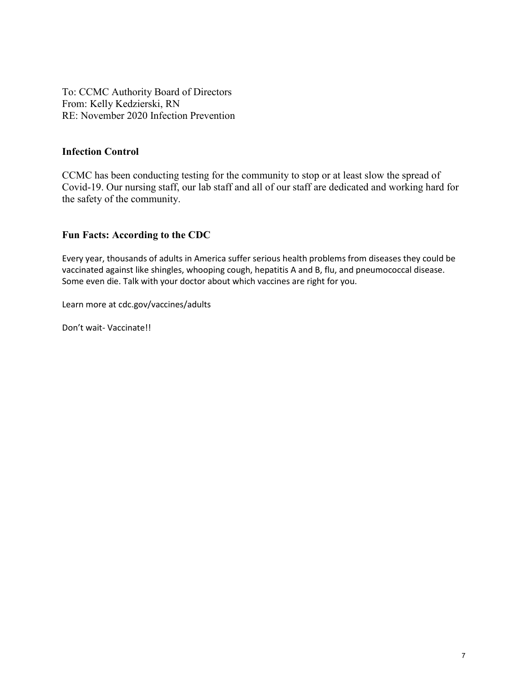To: CCMC Authority Board of Directors From: Kelly Kedzierski, RN RE: November 2020 Infection Prevention

#### **Infection Control**

CCMC has been conducting testing for the community to stop or at least slow the spread of Covid-19. Our nursing staff, our lab staff and all of our staff are dedicated and working hard for the safety of the community.

#### **Fun Facts: According to the CDC**

Every year, thousands of adults in America suffer serious health problems from diseases they could be vaccinated against like shingles, whooping cough, hepatitis A and B, flu, and pneumococcal disease. Some even die. Talk with your doctor about which vaccines are right for you.

Learn more at cdc.gov/vaccines/adults

Don't wait- Vaccinate!!